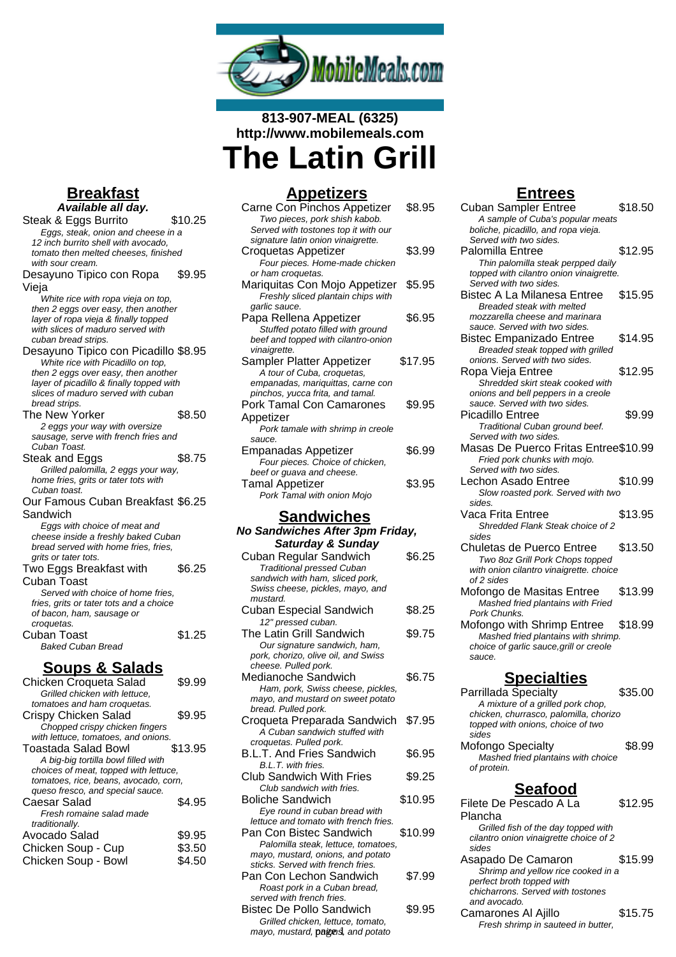

# **813-907-MEAL (6325) http://www.mobilemeals.com The Latin Grill**

| <u>Appetizers</u>                                                                                                                                                             |         |
|-------------------------------------------------------------------------------------------------------------------------------------------------------------------------------|---------|
| Carne Con Pinchos Appetizer<br>Two pieces, pork shish kabob.                                                                                                                  | \$8.95  |
| Served with tostones top it with our<br>signature latin onion vinaigrette.                                                                                                    |         |
| Croquetas Appetizer                                                                                                                                                           | \$3.99  |
| Four pieces. Home-made chicken<br>or ham croquetas.                                                                                                                           |         |
| Mariquitas Con Mojo Appetizer<br>Freshly sliced plantain chips with                                                                                                           | \$5.95  |
| garlic sauce.<br>Papa Rellena Appetizer<br>Stuffed potato filled with ground<br>beef and topped with cilantro-onion<br>vinaigrette.                                           | \$6.95  |
| Sampler Platter Appetizer<br>A tour of Cuba, croquetas,<br>empanadas, mariquittas, carne con                                                                                  | \$17.95 |
| pinchos, yucca frita, and tamal.<br><b>Pork Tamal Con Camarones</b>                                                                                                           | \$9.95  |
| Appetizer<br>Pork tamale with shrimp in creole                                                                                                                                |         |
| sauce.<br><b>Empanadas Appetizer</b>                                                                                                                                          | \$6.99  |
| Four pieces. Choice of chicken,<br>beef or guava and cheese.                                                                                                                  |         |
| <b>Tamal Appetizer</b>                                                                                                                                                        | \$3.95  |
| Pork Tamal with onion Mojo                                                                                                                                                    |         |
| <b>Sandwiches</b>                                                                                                                                                             |         |
| No Sandwiches After 3pm Friday,                                                                                                                                               |         |
| <b>Saturday &amp; Sunday</b><br>Cuban Regular Sandwich                                                                                                                        | \$6.25  |
| <b>Traditional pressed Cuban</b>                                                                                                                                              |         |
| sandwich with ham, sliced pork,<br>Swiss cheese, pickles, mayo, and<br>mustard.                                                                                               |         |
| <b>Cuban Especial Sandwich</b><br>12" pressed cuban.                                                                                                                          | \$8.25  |
| The Latin Grill Sandwich                                                                                                                                                      | \$9.75  |
| Our signature sandwich, ham,<br>pork, chorizo, olive oil, and Swiss<br>cheese. Pulled pork.                                                                                   |         |
| Medianoche Sandwich                                                                                                                                                           | \$6.75  |
| Ham, pork, Swiss cheese, pickles,<br>mayo, and mustard on sweet potato<br>bread. Pulled pork.                                                                                 |         |
| Croqueta Preparada Sandwich<br>A Cuban sandwich stuffed with<br>croquetas. Pulled pork.                                                                                       | \$7.95  |
| B.L.T. And Fries Sandwich<br>B.L.T. with fries.                                                                                                                               | \$6.95  |
| <b>Club Sandwich With Fries</b><br>Club sandwich with fries.                                                                                                                  | \$9.25  |
| <b>Boliche Sandwich</b>                                                                                                                                                       |         |
|                                                                                                                                                                               | \$10.95 |
| Eye round in cuban bread with<br>lettuce and tomato with french fries.<br>Pan Con Bistec Sandwich<br>Palomilla steak, lettuce, tomatoes,<br>mayo, mustard, onions, and potato | \$10.99 |
| sticks. Served with french fries.<br>Pan Con Lechon Sandwich<br>Roast pork in a Cuban bread,<br>served with french fries.                                                     | \$7.99  |

#### Grilled chicken, lettuce, tomato, mayo, mustard, **pagens,** and potato

## **Entrees**

| <b>Cuban Sampler Entree</b><br>A sample of Cuba's popular meats             | \$18.50 |
|-----------------------------------------------------------------------------|---------|
| boliche, picadillo, and ropa vieja.<br>Served with two sides.               |         |
| Palomilla Entree                                                            | \$12.95 |
| Thin palomilla steak perpped daily                                          |         |
| topped with cilantro onion vinaigrette.                                     |         |
| Served with two sides.                                                      |         |
| Bistec A La Milanesa Entree                                                 | \$15.95 |
| Breaded steak with melted                                                   |         |
| mozzarella cheese and marinara                                              |         |
| sauce. Served with two sides.                                               |         |
| <b>Bistec Empanizado Entree</b>                                             | \$14.95 |
| Breaded steak topped with grilled                                           |         |
| onions. Served with two sides.                                              |         |
| Ropa Vieja Entree                                                           | \$12.95 |
| Shredded skirt steak cooked with                                            |         |
| onions and bell peppers in a creole<br>sauce. Served with two sides.        |         |
| Picadillo Entree                                                            | \$9.99  |
| Traditional Cuban ground beef.                                              |         |
| Served with two sides.                                                      |         |
| Masas De Puerco Fritas Entree\$10.99                                        |         |
| Fried pork chunks with mojo.                                                |         |
| Served with two sides.                                                      |         |
| Lechon Asado Entree                                                         | \$10.99 |
| Slow roasted pork. Served with two                                          |         |
| sides.                                                                      |         |
| Vaca Frita Entree                                                           | \$13.95 |
| Shredded Flank Steak choice of 2                                            |         |
| sides                                                                       |         |
| Chuletas de Puerco Entree                                                   | \$13.50 |
| Two 8oz Grill Pork Chops topped                                             |         |
| with onion cilantro vinaigrette. choice<br>of 2 sides                       |         |
| Mofongo de Masitas Entree                                                   | \$13.99 |
| Mashed fried plantains with Fried                                           |         |
| Pork Chunks.                                                                |         |
| Mofongo with Shrimp Entree                                                  | \$18.99 |
| Mashed fried plantains with shrimp.                                         |         |
| choice of garlic sauce, grill or creole                                     |         |
| sauce.                                                                      |         |
|                                                                             |         |
| <u>Specialties</u>                                                          |         |
| Parrillada Specialty                                                        | \$35.00 |
| A mixture of a grilled pork chop,                                           |         |
| chicken, churrasco, palomilla, chorizo<br>topped with onions, choice of two |         |
| sides                                                                       |         |
| Mofongo Specialty                                                           | \$8.99  |
| Mashed fried plantains with choice                                          |         |
| of protein.                                                                 |         |
|                                                                             |         |
| <b>Seafood</b>                                                              |         |
| Filete De Pescado A La                                                      | \$12.95 |
| Plancha                                                                     |         |
| Grilled fish of the day topped with                                         |         |
| cilantro onion vinaigrette choice of 2                                      |         |
| sides                                                                       |         |
| Asapado De Camaron                                                          | \$15.99 |
| Shrimp and yellow rice cooked in a                                          |         |
| perfect broth topped with<br>chicharrons. Served with tostones              |         |
|                                                                             |         |

and avocado.

Camarones Al Ajillo \$15.75 Fresh shrimp in sauteed in butter,

### **Breakfast Available all day.**

| Steak & Eggs Burrito                                 | \$10.25 |
|------------------------------------------------------|---------|
| Eggs, steak, onion and cheese in a                   |         |
| 12 inch burrito shell with avocado,                  |         |
| tomato then melted cheeses, finished                 |         |
| with sour cream.                                     |         |
| Desayuno Tipico con Ropa                             | \$9.95  |
| Vieja                                                |         |
| White rice with ropa vieja on top,                   |         |
| then 2 eggs over easy, then another                  |         |
| layer of ropa vieja & finally topped                 |         |
| with slices of maduro served with                    |         |
| cuban bread strips.                                  |         |
| Desayuno Tipico con Picadillo \$8.95                 |         |
| White rice with Picadillo on top,                    |         |
| then 2 eggs over easy, then another                  |         |
| layer of picadillo & finally topped with             |         |
| slices of maduro served with cuban                   |         |
| bread strips.                                        |         |
| <b>The New Yorker</b>                                | \$8.50  |
| 2 eggs your way with oversize                        |         |
| sausage, serve with french fries and                 |         |
| Cuban Toast.                                         |         |
| Steak and Eggs                                       | \$8.75  |
| Grilled palomilla, 2 eggs your way,                  |         |
| home fries, grits or tater tots with<br>Cuban toast. |         |
| Our Famous Cuban Breakfast \$6.25                    |         |
|                                                      |         |
| Sandwich                                             |         |
| Eggs with choice of meat and                         |         |
| cheese inside a freshly baked Cuban                  |         |
| bread served with home fries, fries,                 |         |
| grits or tater tots.                                 |         |
| Two Eggs Breakfast with                              | \$6.25  |
| Cuban Toast                                          |         |
| Served with choice of home fries.                    |         |
| fries, grits or tater tots and a choice              |         |
| of bacon, ham, sausage or                            |         |
| croquetas.                                           |         |
| Cuban Toast                                          | \$1.25  |
| <b>Baked Cuban Bread</b>                             |         |
| <u>Soups &amp; Salads</u>                            |         |

| Chicken Croqueta Salad                | \$9.99  |
|---------------------------------------|---------|
| Grilled chicken with lettuce.         |         |
| tomatoes and ham croquetas.           |         |
| Crispy Chicken Salad                  | \$9.95  |
| Chopped crispy chicken fingers        |         |
| with lettuce, tomatoes, and onions.   |         |
| Toastada Salad Bowl                   | \$13.95 |
| A big-big tortilla bowl filled with   |         |
| choices of meat, topped with lettuce, |         |
| tomatoes, rice, beans, avocado, corn, |         |
| queso fresco, and special sauce.      |         |
| Caesar Salad                          | \$4.95  |
| Fresh romaine salad made              |         |
| traditionally.                        |         |
| Avocado Salad                         | \$9.95  |
| Chicken Soup - Cup                    | \$3.50  |
| Chicken Soup - Bowl                   | S4.50   |
|                                       |         |